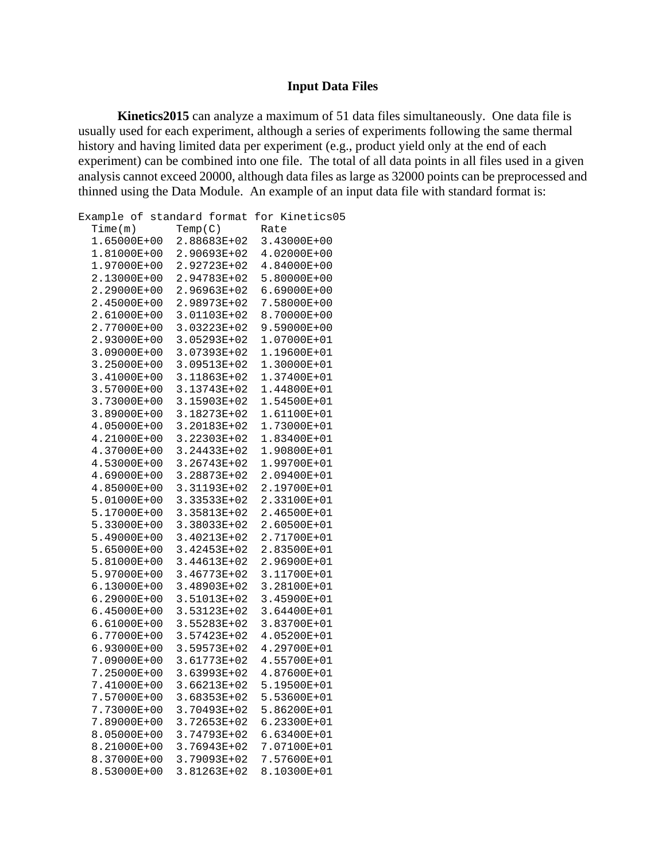## **Input Data Files**

**Kinetics2015** can analyze a maximum of 51 data files simultaneously. One data file is usually used for each experiment, although a series of experiments following the same thermal history and having limited data per experiment (e.g., product yield only at the end of each experiment) can be combined into one file. The total of all data points in all files used in a given analysis cannot exceed 20000, although data files as large as 32000 points can be preprocessed an d thinned using the Data Module. An example of an input data file with standard format is:

| Example of standard format |         |             |      | for Kinetics05 |
|----------------------------|---------|-------------|------|----------------|
| Time(m)                    | Temp(C) |             | Rate |                |
| 1.65000E+00                |         | 2.88683E+02 |      | 3.43000E+00    |
| 1.81000E+00                |         | 2.90693E+02 |      | 4.02000E+00    |
| 1.97000E+00                |         | 2.92723E+02 |      | 4.84000E+00    |
| 2.13000E+00                |         | 2.94783E+02 |      | 5.80000E+00    |
| 2.29000E+00                |         | 2.96963E+02 |      | 6.69000E+00    |
| 2.45000E+00                |         | 2.98973E+02 |      | 7.58000E+00    |
| 2.61000E+00                |         | 3.01103E+02 |      | 8.70000E+00    |
| 2.77000E+00                |         | 3.03223E+02 |      | 9.59000E+00    |
| 2.93000E+00                |         | 3.05293E+02 |      | 1.07000E+01    |
| 3.09000E+00                |         | 3.07393E+02 |      | 1.19600E+01    |
| 3.25000E+00                |         | 3.09513E+02 |      | 1.30000E+01    |
| 3.41000E+00                |         | 3.11863E+02 |      | 1.37400E+01    |
| 3.57000E+00                |         | 3.13743E+02 |      | 1.44800E+01    |
| 3.73000E+00                |         | 3.15903E+02 |      | 1.54500E+01    |
| 3.89000E+00                |         | 3.18273E+02 |      | 1.61100E+01    |
| 4.05000E+00                |         | 3.20183E+02 |      | 1.73000E+01    |
| 4.21000E+00                |         | 3.22303E+02 |      | 1.83400E+01    |
| 4.37000E+00                |         | 3.24433E+02 |      | 1.90800E+01    |
| 4.53000E+00                |         | 3.26743E+02 |      | 1.99700E+01    |
| 4.69000E+00                |         | 3.28873E+02 |      | 2.09400E+01    |
| 4.85000E+00                |         | 3.31193E+02 |      | 2.19700E+01    |
| 5.01000E+00                |         | 3.33533E+02 |      | 2.33100E+01    |
| 5.17000E+00                |         | 3.35813E+02 |      | 2.46500E+01    |
| 5.33000E+00                |         | 3.38033E+02 |      | 2.60500E+01    |
| 5.49000E+00                |         | 3.40213E+02 |      | 2.71700E+01    |
| 5.65000E+00                |         | 3.42453E+02 |      | 2.83500E+01    |
| 5.81000E+00                |         | 3.44613E+02 |      | 2.96900E+01    |
| 5.97000E+00                |         | 3.46773E+02 |      | 3.11700E+01    |
| 6.13000E+00                |         | 3.48903E+02 |      | 3.28100E+01    |
| 6.29000E+00                |         | 3.51013E+02 |      | 3.45900E+01    |
| $6.45000E+00$              |         | 3.53123E+02 |      | 3.64400E+01    |
| 6.61000E+00                |         | 3.55283E+02 |      | 3.83700E+01    |
| 6.77000E+00                |         | 3.57423E+02 |      | 4.05200E+01    |
| 6.93000E+00                |         | 3.59573E+02 |      | 4.29700E+01    |
| 7.09000E+00                |         | 3.61773E+02 |      | 4.55700E+01    |
|                            |         |             |      | 4.87600E+01    |
| 7.25000E+00                |         | 3.63993E+02 |      |                |
| 7.41000E+00                |         | 3.66213E+02 |      | 5.19500E+01    |
| 7.57000E+00                |         | 3.68353E+02 |      | 5.53600E+01    |
| 7.73000E+00                |         | 3.70493E+02 |      | 5.86200E+01    |
| 7.89000E+00                |         | 3.72653E+02 |      | 6.23300E+01    |
| 8.05000E+00                |         | 3.74793E+02 |      | 6.63400E+01    |
| 8.21000E+00                |         | 3.76943E+02 |      | 7.07100E+01    |
| 8.37000E+00                |         | 3.79093E+02 |      | 7.57600E+01    |
| 8.53000E+00                |         | 3.81263E+02 |      | 8.10300E+01    |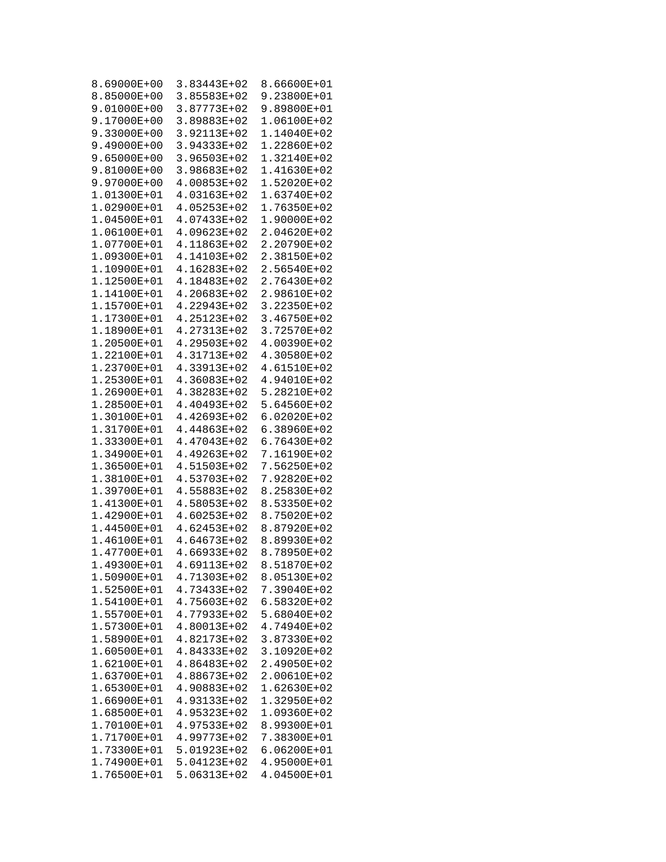| 8.69000E+00 | 3.83443E+02 | 8.66600E+01 |
|-------------|-------------|-------------|
| 8.85000E+00 | 3.85583E+02 | 9.23800E+01 |
|             | 3.87773E+02 |             |
| 9.01000E+00 |             | 9.89800E+01 |
| 9.17000E+00 | 3.89883E+02 | 1.06100E+02 |
| 9.33000E+00 | 3.92113E+02 | 1.14040E+02 |
| 9.49000E+00 | 3.94333E+02 | 1.22860E+02 |
| 9.65000E+00 | 3.96503E+02 | 1.32140E+02 |
| 9.81000E+00 | 3.98683E+02 | 1.41630E+02 |
| 9.97000E+00 | 4.00853E+02 | 1.52020E+02 |
|             |             |             |
| 1.01300E+01 | 4.03163E+02 | 1.63740E+02 |
| 1.02900E+01 | 4.05253E+02 | 1.76350E+02 |
| 1.04500E+01 | 4.07433E+02 | 1.90000E+02 |
| 1.06100E+01 | 4.09623E+02 | 2.04620E+02 |
| 1.07700E+01 | 4.11863E+02 | 2.20790E+02 |
| 1.09300E+01 | 4.14103E+02 | 2.38150E+02 |
| 1.10900E+01 | 4.16283E+02 | 2.56540E+02 |
| 1.12500E+01 | 4.18483E+02 | 2.76430E+02 |
|             |             |             |
| 1.14100E+01 | 4.20683E+02 | 2.98610E+02 |
| 1.15700E+01 | 4.22943E+02 | 3.22350E+02 |
| 1.17300E+01 | 4.25123E+02 | 3.46750E+02 |
| 1.18900E+01 | 4.27313E+02 | 3.72570E+02 |
| 1.20500E+01 | 4.29503E+02 | 4.00390E+02 |
| 1.22100E+01 | 4.31713E+02 | 4.30580E+02 |
| 1.23700E+01 | 4.33913E+02 | 4.61510E+02 |
| 1.25300E+01 | 4.36083E+02 | 4.94010E+02 |
|             |             |             |
| 1.26900E+01 | 4.38283E+02 | 5.28210E+02 |
| 1.28500E+01 | 4.40493E+02 | 5.64560E+02 |
| 1.30100E+01 | 4.42693E+02 | 6.02020E+02 |
| 1.31700E+01 | 4.44863E+02 | 6.38960E+02 |
| 1.33300E+01 | 4.47043E+02 | 6.76430E+02 |
| 1.34900E+01 | 4.49263E+02 | 7.16190E+02 |
| 1.36500E+01 | 4.51503E+02 | 7.56250E+02 |
| 1.38100E+01 | 4.53703E+02 | 7.92820E+02 |
| 1.39700E+01 | 4.55883E+02 | 8.25830E+02 |
| 1.41300E+01 | 4.58053E+02 | 8.53350E+02 |
| 1.42900E+01 | 4.60253E+02 | 8.75020E+02 |
|             | 4.62453E+02 |             |
| 1.44500E+01 |             | 8.87920E+02 |
| 1.46100E+01 | 4.64673E+02 | 8.89930E+02 |
| 1.47700E+01 | 4.66933E+02 | 8.78950E+02 |
| 1.49300E+01 | 4.69113E+02 | 8.51870E+02 |
| 1.50900E+01 | 4.71303E+02 | 8.05130E+02 |
| 1.52500E+01 | 4.73433E+02 | 7.39040E+02 |
| 1.54100E+01 | 4.75603E+02 | 6.58320E+02 |
| 1.55700E+01 | 4.77933E+02 | 5.68040E+02 |
| 1.57300E+01 | 4.80013E+02 | 4.74940E+02 |
| 1.58900E+01 | 4.82173E+02 | 3.87330E+02 |
|             |             |             |
| 1.60500E+01 | 4.84333E+02 | 3.10920E+02 |
| 1.62100E+01 | 4.86483E+02 | 2.49050E+02 |
| 1.63700E+01 | 4.88673E+02 | 2.00610E+02 |
| 1.65300E+01 | 4.90883E+02 | 1.62630E+02 |
| 1.66900E+01 | 4.93133E+02 | 1.32950E+02 |
| 1.68500E+01 | 4.95323E+02 | 1.09360E+02 |
| 1.70100E+01 | 4.97533E+02 | 8.99300E+01 |
| 1.71700E+01 | 4.99773E+02 | 7.38300E+01 |
| 1.73300E+01 | 5.01923E+02 | 6.06200E+01 |
| 1.74900E+01 |             |             |
|             | 5.04123E+02 | 4.95000E+01 |
| 1.76500E+01 | 5.06313E+02 | 4.04500E+01 |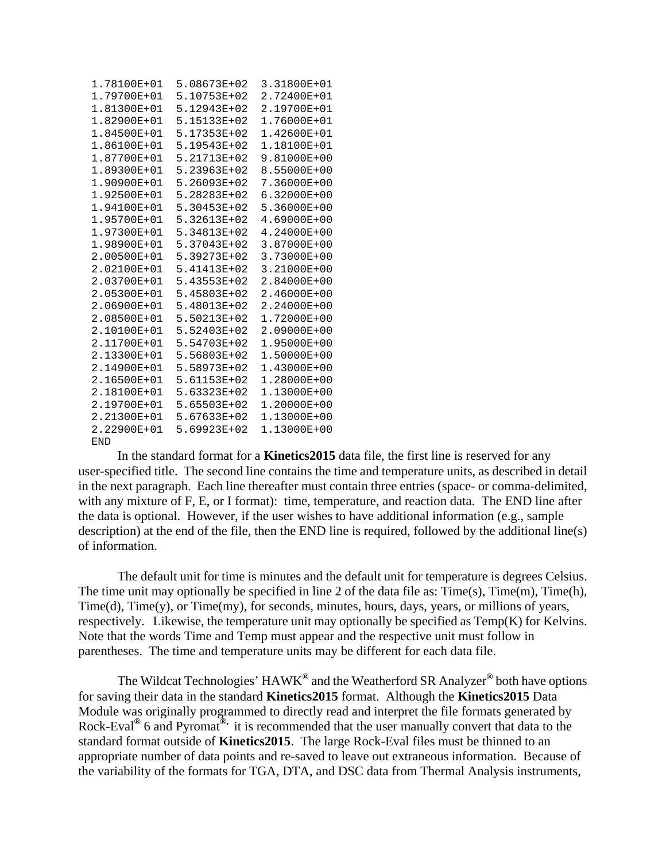| 1.78100E+01 | 5.08673E+02 | 3.31800E+01 |
|-------------|-------------|-------------|
| 1.79700E+01 | 5.10753E+02 | 2.72400E+01 |
| 1.81300E+01 | 5.12943E+02 | 2.19700E+01 |
| 1.82900E+01 | 5.15133E+02 | 1.76000E+01 |
| 1.84500E+01 | 5.17353E+02 | 1.42600E+01 |
| 1.86100E+01 | 5.19543E+02 | 1.18100E+01 |
| 1.87700E+01 | 5.21713E+02 | 9.81000E+00 |
| 1.89300E+01 | 5.23963E+02 | 8.55000E+00 |
| 1.90900E+01 | 5.26093E+02 | 7.36000E+00 |
| 1.92500E+01 | 5.28283E+02 | 6.32000E+00 |
| 1.94100E+01 | 5.30453E+02 | 5.36000E+00 |
| 1.95700E+01 | 5.32613E+02 | 4.69000E+00 |
| 1.97300E+01 | 5.34813E+02 | 4.24000E+00 |
| 1.98900E+01 | 5.37043E+02 | 3.87000E+00 |
| 2.00500E+01 | 5.39273E+02 | 3.73000E+00 |
| 2.02100E+01 | 5.41413E+02 | 3.21000E+00 |
| 2.03700E+01 | 5.43553E+02 | 2.84000E+00 |
| 2.05300E+01 | 5.45803E+02 | 2.46000E+00 |
| 2.06900E+01 | 5.48013E+02 | 2.24000E+00 |
| 2.08500E+01 | 5.50213E+02 | 1.72000E+00 |
| 2.10100E+01 | 5.52403E+02 | 2.09000E+00 |
| 2.11700E+01 | 5.54703E+02 | 1.95000E+00 |
| 2.13300E+01 | 5.56803E+02 | 1.50000E+00 |
| 2.14900E+01 | 5.58973E+02 | 1.43000E+00 |
| 2.16500E+01 | 5.61153E+02 | 1.28000E+00 |
| 2.18100E+01 | 5.63323E+02 | 1.13000E+00 |
| 2.19700E+01 | 5.65503E+02 | 1.20000E+00 |
| 2.21300E+01 | 5.67633E+02 | 1.13000E+00 |
| 2.22900E+01 | 5.69923E+02 | 1.13000E+00 |
| END         |             |             |

In the standard format for a **Kinetics2015** data file, the first line is reserved for any user-specified title. The second line contains the time and temperature units, as described in detail in the next paragraph. Each line thereafter must contain three entries (space- or comma-delimited , with any mixture of F, E, or I format): time, temperature, and reaction data. The END line after the data is optional. However, if the user wishes to have additional information (e.g., sample description) at the end of the file, then the END line is required, followed by the additional l ine(s) of information.

The default unit for time is minutes and the default unit for temperature is degrees Celsius. The time unit may optionally be specified in line 2 of the data file as:  $Time(s)$ ,  $Time(m)$ ,  $Time(h)$ , respectively. Likewise, the temperature unit may optionally be specified as  $Temp(K)$  for Kelvins. Time(d), Time(y), or Time(my), for seconds, minutes, hours, days, years, or millions of years, Note that the words Time and Temp must appear and the respective unit must follow in parentheses. The time and temperature units may be different for each data file.

The Wildcat Technologies' HAWK<sup>®</sup> and the Weatherford SR Analyzer<sup>®</sup> both have options for saving their data in the standard **Kinetics2015** format. Although the **Kinetics2015** Data Module was originally programmed to directly read and interpret the file formats generated by Rock-Eval**®** 6 and Pyromat**®,** it is recommended that the user manually convert that data to the standard format outside of **Kinetics2015**. The large Rock-Eval files must be thinned to an appropriate number of data points and re-saved to leave out extraneous information. Because of the variability of the formats for TGA, DTA, and DSC data from Thermal Analysis instruments,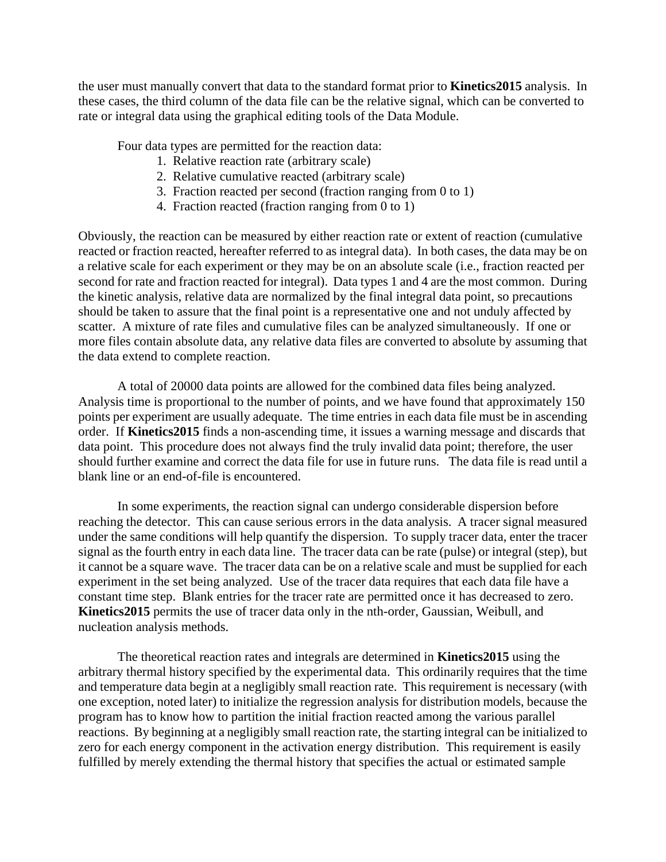the user must manually convert that data to the standard format prior to **Kinetics2015** analysis. In these cases, the third column of the data file can be the relative signal, which can be converted to rate or integral data using the graphical editing tools of the Data Module.

Four data types are permitted for the reaction data:

- 1. Relative reaction rate (arbitrary scale)
- 2. Relative cumulative reacted (arbitrary scale)
- 3. Fraction reacted per second (fraction ranging from 0 to 1)
- 4. Fraction reacted (fraction ranging from 0 to 1)

the kinetic analysis, relative data are normalized by the final integral data point, so precautions more files contain absolute data, any relative data files are converted to absolute by assuming that Obviously, the reaction can be measured by either reaction rate or extent of reaction (cumulative reacted or fraction reacted, hereafter referred to as integral data). In both cases, the data may be on a relative scale for each experiment or they may be on an absolute scale (i.e., fraction reacted per second for rate and fraction reacted for integral). Data types 1 and 4 are the most common. During should be taken to assure that the final point is a representative one and not unduly affected by scatter. A mixture of rate files and cumulative files can be analyzed simultaneously. If one or the data extend to complete reaction.

points per experiment are usually adequate. The time entries in each data file must be in ascending order. If Kinetics2015 finds a non-ascending time, it issues a warning message and discards that data point. This procedure does not always find the truly invalid data point; therefore, the user should further examine and correct the data file for use in future runs. The data file is read until a A total of 20000 data points are allowed for the combined data files being analyzed. Analysis time is proportional to the number of points, and we have found that approximately 150 blank line or an end-of-file is encountered.

reaching the detector. This can cause serious errors in the data analysis. A tracer signal measured under the same conditions will help quantify the dispersion. To supply tracer data, enter the tracer it cannot be a square wave. The tracer data can be on a relative scale and must be supplied for each In some experiments, the reaction signal can undergo considerable dispersion before signal as the fourth entry in each data line. The tracer data can be rate (pulse) or integral (step), but experiment in the set being analyzed. Use of the tracer data requires that each data file have a constant time step. Blank entries for the tracer rate are permitted once it has decreased to zero. **Kinetics2015** permits the use of tracer data only in the nth-order, Gaussian, Weibull, and nucleation analysis methods.

arbitrary thermal history specified by the experimental data. This ordinarily requires that the time and temperature data begin at a negligibly small reaction rate. This requirement is necessary (with one exception, noted later) to initialize the regression analysis for distribution models, because the reactions. By beginning at a negligibly small reaction rate, the starting integral can be initialized to The theoretical reaction rates and integrals are determined in **Kinetics2015** using the program has to know how to partition the initial fraction reacted among the various parallel zero for each energy component in the activation energy distribution. This requirement is easily fulfilled by merely extending the thermal history that specifies the actual or estimated sample